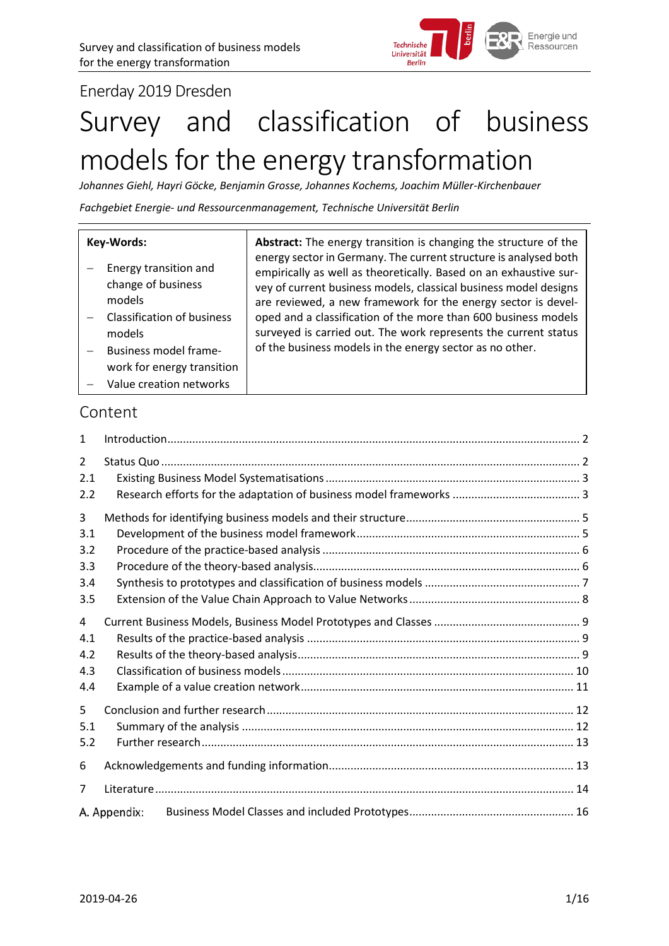

Enerday 2019 Dresden

# Survey and classification of business models for the energy transformation

*Johannes Giehl, Hayri Göcke, Benjamin Grosse, Johannes Kochems, Joachim Müller-Kirchenbauer*

*Fachgebiet Energie- und Ressourcenmanagement, Technische Universität Berlin*

|                                                                                                                                                                                                                                             | Key-Words: | Abstract: The energy transition is changing the structure of the                                                                                                                                                                                                                                                                                                                                                |  |  |
|---------------------------------------------------------------------------------------------------------------------------------------------------------------------------------------------------------------------------------------------|------------|-----------------------------------------------------------------------------------------------------------------------------------------------------------------------------------------------------------------------------------------------------------------------------------------------------------------------------------------------------------------------------------------------------------------|--|--|
| Energy transition and<br>change of business<br>models<br>Classification of business<br>models<br>of the business models in the energy sector as no other.<br>Business model frame-<br>work for energy transition<br>Value creation networks |            | energy sector in Germany. The current structure is analysed both<br>empirically as well as theoretically. Based on an exhaustive sur-<br>vey of current business models, classical business model designs<br>are reviewed, a new framework for the energy sector is devel-<br>oped and a classification of the more than 600 business models<br>surveyed is carried out. The work represents the current status |  |  |

## Content

| 1                                    |              |  |
|--------------------------------------|--------------|--|
| $\mathcal{L}$<br>2.1<br>2.2          |              |  |
| 3<br>3.1<br>3.2<br>3.3<br>3.4<br>3.5 |              |  |
| 4<br>4.1<br>4.2<br>4.3<br>4.4        |              |  |
| 5<br>5.1<br>5.2                      |              |  |
| 6                                    |              |  |
| 7                                    |              |  |
|                                      | A. Appendix: |  |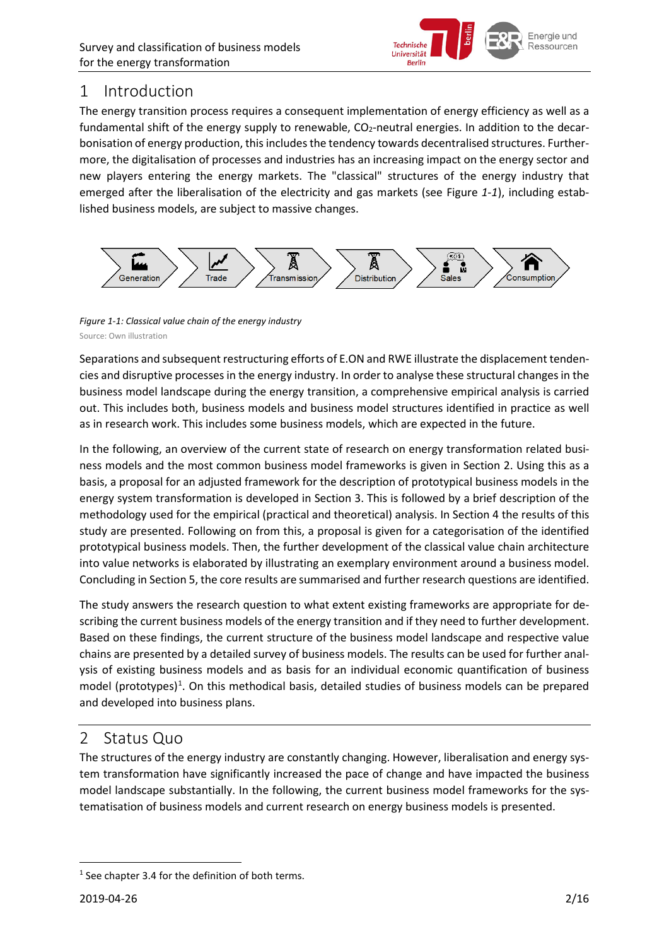

## <span id="page-1-0"></span>1 Introduction

The energy transition process requires a consequent implementation of energy efficiency as well as a fundamental shift of the energy supply to renewable, CO<sub>2</sub>-neutral energies. In addition to the decarbonisation of energy production, this includes the tendency towards decentralised structures. Furthermore, the digitalisation of processes and industries has an increasing impact on the energy sector and new players entering the energy markets. The "classical" structures of the energy industry that emerged after the liberalisation of the electricity and gas markets (see [Figure](#page-1-2) *1-1*), including established business models, are subject to massive changes.



<span id="page-1-2"></span>*Figure 1-1: Classical value chain of the energy industry* Source: Own illustration

Separations and subsequent restructuring efforts of E.ON and RWE illustrate the displacement tendencies and disruptive processes in the energy industry. In order to analyse these structural changes in the business model landscape during the energy transition, a comprehensive empirical analysis is carried out. This includes both, business models and business model structures identified in practice as well as in research work. This includes some business models, which are expected in the future.

In the following, an overview of the current state of research on energy transformation related business models and the most common business model frameworks is given in Section [2.](#page-1-1) Using this as a basis, a proposal for an adjusted framework for the description of prototypical business models in the energy system transformation is developed in Section [3.](#page-4-0) This is followed by a brief description of the methodology used for the empirical (practical and theoretical) analysis. In Sectio[n 4](#page-8-0) the results of this study are presented. Following on from this, a proposal is given for a categorisation of the identified prototypical business models. Then, the further development of the classical value chain architecture into value networks is elaborated by illustrating an exemplary environment around a business model. Concluding in Sectio[n 5,](#page-11-0) the core results are summarised and further research questions are identified.

The study answers the research question to what extent existing frameworks are appropriate for describing the current business models of the energy transition and if they need to further development. Based on these findings, the current structure of the business model landscape and respective value chains are presented by a detailed survey of business models. The results can be used for further analysis of existing business models and as basis for an individual economic quantification of business model (prototypes)<sup>[1](#page-1-3)</sup>. On this methodical basis, detailed studies of business models can be prepared and developed into business plans.

## <span id="page-1-1"></span>2 Status Quo

The structures of the energy industry are constantly changing. However, liberalisation and energy system transformation have significantly increased the pace of change and have impacted the business model landscape substantially. In the following, the current business model frameworks for the systematisation of business models and current research on energy business models is presented.

<span id="page-1-3"></span> $1$  See chapter 3.4 for the definition of both terms.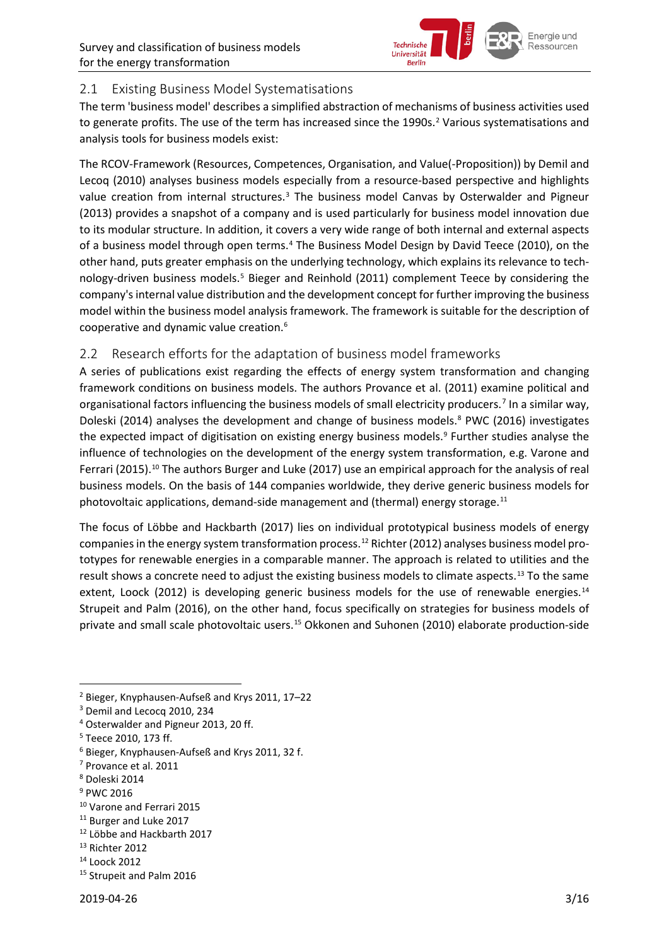

#### <span id="page-2-0"></span>2.1 Existing Business Model Systematisations

The term 'business model' describes a simplified abstraction of mechanisms of business activities used to generate profits. The use of the term has increased since the 1990s. [2](#page-2-2) Various systematisations and analysis tools for business models exist:

The RCOV-Framework (Resources, Competences, Organisation, and Value(-Proposition)) by Demil and Lecoq (2010) analyses business models especially from a resource-based perspective and highlights value creation from internal structures.<sup>[3](#page-2-3)</sup> The business model Canvas by Osterwalder and Pigneur (2013) provides a snapshot of a company and is used particularly for business model innovation due to its modular structure. In addition, it covers a very wide range of both internal and external aspects of a business model through open terms.<sup>[4](#page-2-4)</sup> The Business Model Design by David Teece (2010), on the other hand, puts greater emphasis on the underlying technology, which explains its relevance to technology-driven business models. [5](#page-2-5) Bieger and Reinhold (2011) complement Teece by considering the company's internal value distribution and the development concept for further improving the business model within the business model analysis framework. The framework is suitable for the description of cooperative and dynamic value creation. [6](#page-2-6)

#### <span id="page-2-1"></span>2.2 Research efforts for the adaptation of business model frameworks

A series of publications exist regarding the effects of energy system transformation and changing framework conditions on business models. The authors Provance et al. (2011) examine political and organisational factors influencing the business models of small electricity producers.[7](#page-2-7) In a similar way, Doleski (2014) analyses the development and change of business models. [8](#page-2-8) PWC (2016) investigates the expected impact of digitisation on existing energy business models. [9](#page-2-9) Further studies analyse the influence of technologies on the development of the energy system transformation, e.g. Varone and Ferrari (2015).<sup>[10](#page-2-10)</sup> The authors Burger and Luke (2017) use an empirical approach for the analysis of real business models. On the basis of 144 companies worldwide, they derive generic business models for photovoltaic applications, demand-side management and (thermal) energy storage.<sup>[11](#page-2-11)</sup>

The focus of Löbbe and Hackbarth (2017) lies on individual prototypical business models of energy companies in the energy system transformation process. [12](#page-2-12) Richter (2012) analyses business model prototypes for renewable energies in a comparable manner. The approach is related to utilities and the result shows a concrete need to adjust the existing business models to climate aspects.<sup>[13](#page-2-13)</sup> To the same extent, Loock (2012) is developing generic business models for the use of renewable energies.<sup>[14](#page-2-14)</sup> Strupeit and Palm (2016), on the other hand, focus specifically on strategies for business models of private and small scale photovoltaic users.<sup>[15](#page-2-15)</sup> Okkonen and Suhonen (2010) elaborate production-side

- <span id="page-2-10"></span><sup>10</sup> Varone and Ferrari 2015
- <span id="page-2-11"></span><sup>11</sup> Burger and Luke 2017
- <span id="page-2-12"></span><sup>12</sup> Löbbe and Hackbarth 2017

<span id="page-2-14"></span><sup>14</sup> Loock 2012

<span id="page-2-2"></span> <sup>2</sup> Bieger, Knyphausen-Aufseß and Krys 2011, 17–22

<span id="page-2-3"></span><sup>&</sup>lt;sup>3</sup> Demil and Lecocq 2010, 234

<span id="page-2-4"></span><sup>4</sup> Osterwalder and Pigneur 2013, 20 ff.

<span id="page-2-5"></span><sup>5</sup> Teece 2010, 173 ff.

<span id="page-2-6"></span><sup>6</sup> Bieger, Knyphausen-Aufseß and Krys 2011, 32 f.

<span id="page-2-7"></span><sup>7</sup> Provance et al. 2011

<span id="page-2-8"></span><sup>8</sup> Doleski 2014

<span id="page-2-9"></span><sup>9</sup> PWC 2016

<span id="page-2-13"></span><sup>13</sup> Richter 2012

<span id="page-2-15"></span><sup>&</sup>lt;sup>15</sup> Strupeit and Palm 2016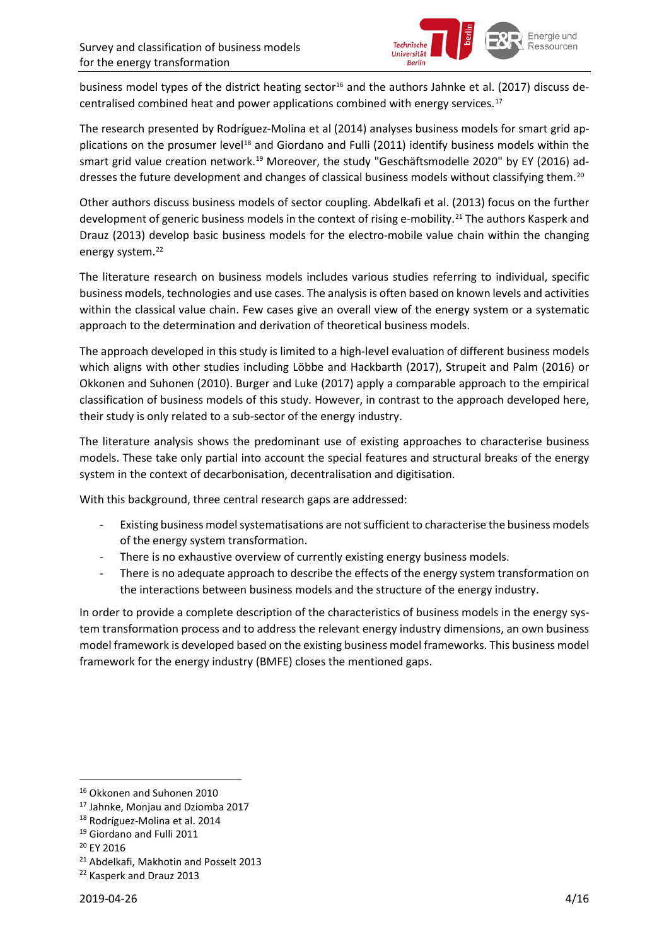

business model types of the district heating sector<sup>[16](#page-3-0)</sup> and the authors Jahnke et al. (2017) discuss decentralised combined heat and power applications combined with energy services. [17](#page-3-1)

The research presented by Rodríguez-Molina et al (2014) analyses business models for smart grid ap-plications on the prosumer level<sup>[18](#page-3-2)</sup> and Giordano and Fulli (2011) identify business models within the smart grid value creation network.<sup>[19](#page-3-3)</sup> Moreover, the study "Geschäftsmodelle 2020" by EY (2016) ad-dresses the future development and changes of classical business models without classifying them.<sup>[20](#page-3-4)</sup>

Other authors discuss business models of sector coupling. Abdelkafi et al. (2013) focus on the further development of generic business models in the context of rising e-mobility.<sup>[21](#page-3-5)</sup> The authors Kasperk and Drauz (2013) develop basic business models for the electro-mobile value chain within the changing energy system. [22](#page-3-6)

The literature research on business models includes various studies referring to individual, specific business models, technologies and use cases. The analysis is often based on known levels and activities within the classical value chain. Few cases give an overall view of the energy system or a systematic approach to the determination and derivation of theoretical business models.

The approach developed in this study is limited to a high-level evaluation of different business models which aligns with other studies including Löbbe and Hackbarth (2017), Strupeit and Palm (2016) or Okkonen and Suhonen (2010). Burger and Luke (2017) apply a comparable approach to the empirical classification of business models of this study. However, in contrast to the approach developed here, their study is only related to a sub-sector of the energy industry.

The literature analysis shows the predominant use of existing approaches to characterise business models. These take only partial into account the special features and structural breaks of the energy system in the context of decarbonisation, decentralisation and digitisation.

With this background, three central research gaps are addressed:

- Existing business model systematisations are not sufficient to characterise the business models of the energy system transformation.
- There is no exhaustive overview of currently existing energy business models.
- There is no adequate approach to describe the effects of the energy system transformation on the interactions between business models and the structure of the energy industry.

In order to provide a complete description of the characteristics of business models in the energy system transformation process and to address the relevant energy industry dimensions, an own business model framework is developed based on the existing business model frameworks. This business model framework for the energy industry (BMFE) closes the mentioned gaps.

<span id="page-3-0"></span> <sup>16</sup> Okkonen and Suhonen 2010

<span id="page-3-1"></span><sup>17</sup> Jahnke, Monjau and Dziomba 2017

<span id="page-3-2"></span><sup>18</sup> Rodríguez-Molina et al. 2014

<span id="page-3-3"></span><sup>19</sup> Giordano and Fulli 2011

<span id="page-3-4"></span><sup>20</sup> EY 2016

<span id="page-3-5"></span><sup>21</sup> Abdelkafi, Makhotin and Posselt 2013

<span id="page-3-6"></span><sup>&</sup>lt;sup>22</sup> Kasperk and Drauz 2013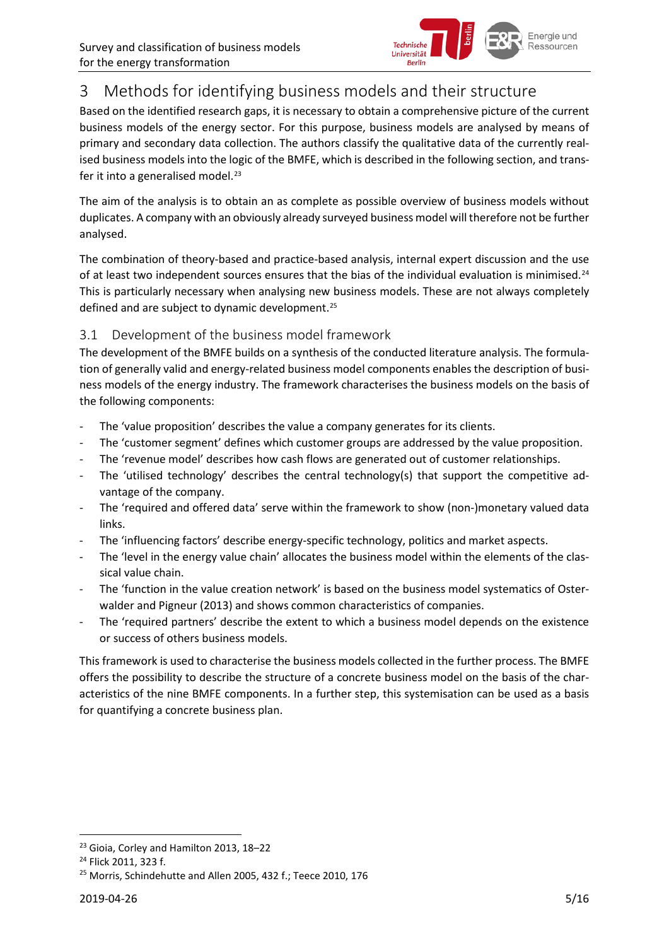

## <span id="page-4-0"></span>3 Methods for identifying business models and their structure

Based on the identified research gaps, it is necessary to obtain a comprehensive picture of the current business models of the energy sector. For this purpose, business models are analysed by means of primary and secondary data collection. The authors classify the qualitative data of the currently realised business models into the logic of the BMFE, which is described in the following section, and trans-fer it into a generalised model.<sup>[23](#page-4-2)</sup>

The aim of the analysis is to obtain an as complete as possible overview of business models without duplicates. A company with an obviously already surveyed business model will therefore not be further analysed.

The combination of theory-based and practice-based analysis, internal expert discussion and the use of at least two independent sources ensures that the bias of the individual evaluation is minimised.<sup>[24](#page-4-3)</sup> This is particularly necessary when analysing new business models. These are not always completely defined and are subject to dynamic development.<sup>[25](#page-4-4)</sup>

#### <span id="page-4-1"></span>3.1 Development of the business model framework

The development of the BMFE builds on a synthesis of the conducted literature analysis. The formulation of generally valid and energy-related business model components enables the description of business models of the energy industry. The framework characterises the business models on the basis of the following components:

- The 'value proposition' describes the value a company generates for its clients.
- The 'customer segment' defines which customer groups are addressed by the value proposition.
- The 'revenue model' describes how cash flows are generated out of customer relationships.
- The 'utilised technology' describes the central technology(s) that support the competitive advantage of the company.
- The 'required and offered data' serve within the framework to show (non-)monetary valued data links.
- The 'influencing factors' describe energy-specific technology, politics and market aspects.
- The 'level in the energy value chain' allocates the business model within the elements of the classical value chain.
- The 'function in the value creation network' is based on the business model systematics of Osterwalder and Pigneur (2013) and shows common characteristics of companies.
- The 'required partners' describe the extent to which a business model depends on the existence or success of others business models.

This framework is used to characterise the business models collected in the further process. The BMFE offers the possibility to describe the structure of a concrete business model on the basis of the characteristics of the nine BMFE components. In a further step, this systemisation can be used as a basis for quantifying a concrete business plan.

<span id="page-4-2"></span> <sup>23</sup> Gioia, Corley and Hamilton 2013, 18–22

<span id="page-4-3"></span><sup>24</sup> Flick 2011, 323 f.

<span id="page-4-4"></span> $25$  Morris, Schindehutte and Allen 2005, 432 f.; Teece 2010, 176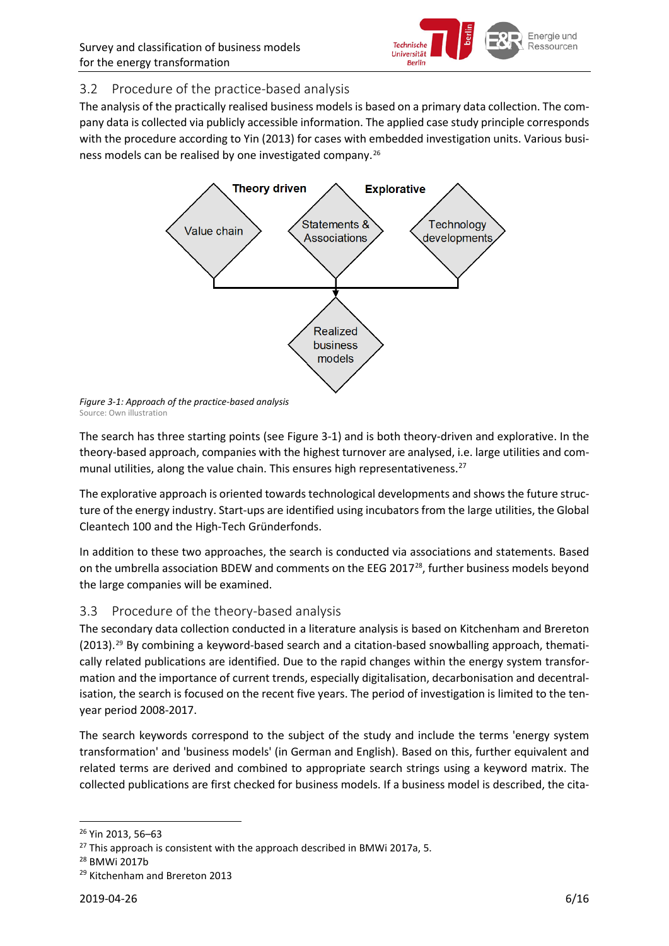

#### <span id="page-5-0"></span>3.2 Procedure of the practice-based analysis

<span id="page-5-2"></span>The analysis of the practically realised business models is based on a primary data collection. The company data is collected via publicly accessible information. The applied case study principle corresponds with the procedure according to Yin (2013) for cases with embedded investigation units. Various business models can be realised by one investigated company. [26](#page-5-3)



*Figure 3-1: Approach of the practice-based analysis* Source: Own illustratio[n](#page-5-2)

[The search has three starting points \(see Figure 3-1\)](#page-5-2) and is both theory-driven and explorative. In the theory-based approach, companies with the highest turnover are analysed, i.e. large utilities and com-munal utilities, along the value chain. This ensures high representativeness.<sup>[27](#page-5-4)</sup>

The explorative approach is oriented towards technological developments and shows the future structure of the energy industry. Start-ups are identified using incubators from the large utilities, the Global Cleantech 100 and the High-Tech Gründerfonds.

In addition to these two approaches, the search is conducted via associations and statements. Based on the umbrella association BDEW and comments on the EEG 2017<sup>28</sup>, further business models beyond the large companies will be examined.

#### <span id="page-5-1"></span>3.3 Procedure of the theory-based analysis

The secondary data collection conducted in a literature analysis is based on Kitchenham and Brereton (2013).[29](#page-5-6) By combining a keyword-based search and a citation-based snowballing approach, thematically related publications are identified. Due to the rapid changes within the energy system transformation and the importance of current trends, especially digitalisation, decarbonisation and decentralisation, the search is focused on the recent five years. The period of investigation is limited to the tenyear period 2008-2017.

The search keywords correspond to the subject of the study and include the terms 'energy system transformation' and 'business models' (in German and English). Based on this, further equivalent and related terms are derived and combined to appropriate search strings using a keyword matrix. The collected publications are first checked for business models. If a business model is described, the cita-

<span id="page-5-3"></span> <sup>26</sup> Yin 2013, 56–63

<span id="page-5-4"></span> $27$  This approach is consistent with the approach described in BMWi 2017a, 5.

<span id="page-5-5"></span><sup>28</sup> BMWi 2017b

<span id="page-5-6"></span><sup>&</sup>lt;sup>29</sup> Kitchenham and Brereton 2013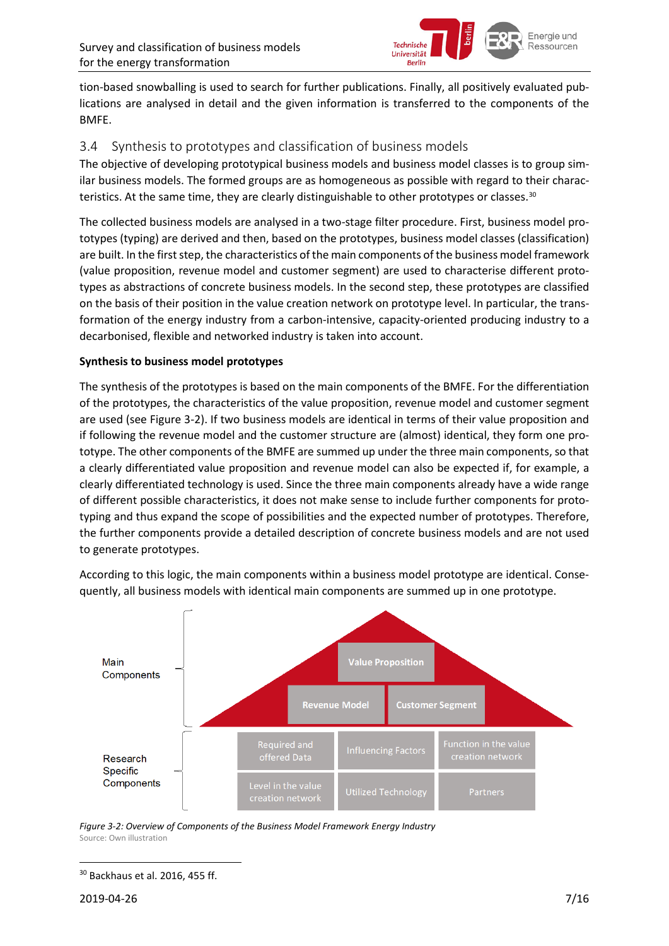

tion-based snowballing is used to search for further publications. Finally, all positively evaluated publications are analysed in detail and the given information is transferred to the components of the BMFE.

#### <span id="page-6-0"></span>3.4 Synthesis to prototypes and classification of business models

The objective of developing prototypical business models and business model classes is to group similar business models. The formed groups are as homogeneous as possible with regard to their charac-teristics. At the same time, they are clearly distinguishable to other prototypes or classes.<sup>[30](#page-6-2)</sup>

The collected business models are analysed in a two-stage filter procedure. First, business model prototypes (typing) are derived and then, based on the prototypes, business model classes (classification) are built. In the first step, the characteristics of the main components of the business model framework (value proposition, revenue model and customer segment) are used to characterise different prototypes as abstractions of concrete business models. In the second step, these prototypes are classified on the basis of their position in the value creation network on prototype level. In particular, the transformation of the energy industry from a carbon-intensive, capacity-oriented producing industry to a decarbonised, flexible and networked industry is taken into account.

#### **Synthesis to business model prototypes**

The synthesis of the prototypes is based on the main components of the BMFE. For the differentiation of the prototypes, the characteristics of the value proposition, revenue model and customer segment are used (see [Figure 3-2\)](#page-6-1). If two business models are identical in terms of their value proposition and if following the revenue model and the customer structure are (almost) identical, they form one prototype. The other components of the BMFE are summed up under the three main components, so that a clearly differentiated value proposition and revenue model can also be expected if, for example, a clearly differentiated technology is used. Since the three main components already have a wide range of different possible characteristics, it does not make sense to include further components for prototyping and thus expand the scope of possibilities and the expected number of prototypes. Therefore, the further components provide a detailed description of concrete business models and are not used to generate prototypes.

According to this logic, the main components within a business model prototype are identical. Consequently, all business models with identical main components are summed up in one prototype.



<span id="page-6-1"></span>*Figure 3-2: Overview of Components of the Business Model Framework Energy Industry* Source: Own illustration

<span id="page-6-2"></span> <sup>30</sup> Backhaus et al. 2016, 455 ff.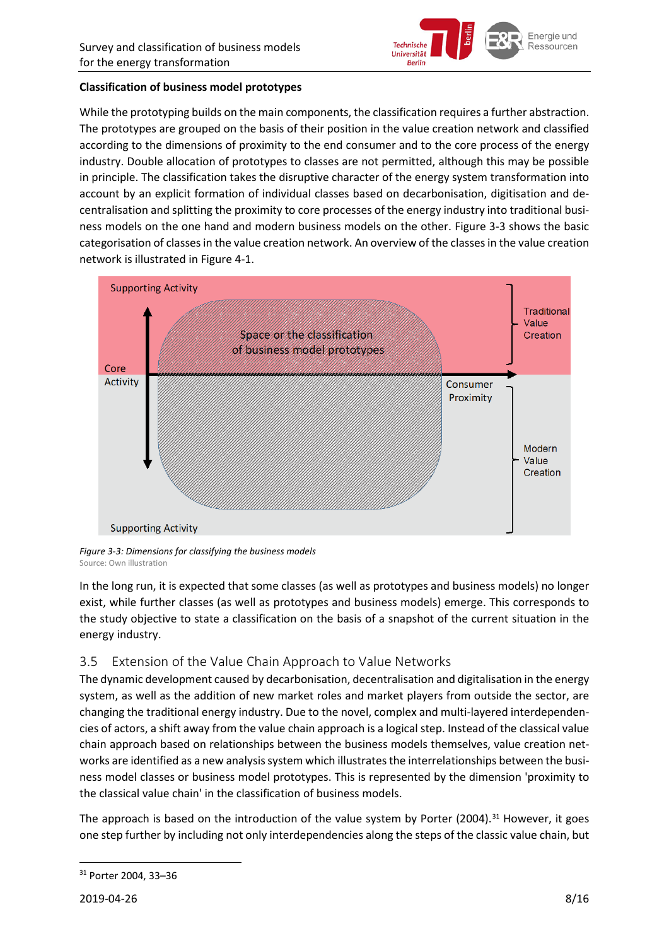

#### **Classification of business model prototypes**

While the prototyping builds on the main components, the classification requires a further abstraction. The prototypes are grouped on the basis of their position in the value creation network and classified according to the dimensions of proximity to the end consumer and to the core process of the energy industry. Double allocation of prototypes to classes are not permitted, although this may be possible in principle. The classification takes the disruptive character of the energy system transformation into account by an explicit formation of individual classes based on decarbonisation, digitisation and decentralisation and splitting the proximity to core processes of the energy industry into traditional business models on the one hand and modern business models on the other. [Figure 3-3](#page-7-1) shows the basic categorisation of classes in the value creation network. An overview of the classes in the value creation network is illustrated in [Figure 4-1.](#page-9-1)



<span id="page-7-1"></span>*Figure 3-3: Dimensions for classifying the business models* Source: Own illustration

In the long run, it is expected that some classes (as well as prototypes and business models) no longer exist, while further classes (as well as prototypes and business models) emerge. This corresponds to the study objective to state a classification on the basis of a snapshot of the current situation in the energy industry.

#### <span id="page-7-0"></span>3.5 Extension of the Value Chain Approach to Value Networks

The dynamic development caused by decarbonisation, decentralisation and digitalisation in the energy system, as well as the addition of new market roles and market players from outside the sector, are changing the traditional energy industry. Due to the novel, complex and multi-layered interdependencies of actors, a shift away from the value chain approach is a logical step. Instead of the classical value chain approach based on relationships between the business models themselves, value creation networks are identified as a new analysis system which illustrates the interrelationships between the business model classes or business model prototypes. This is represented by the dimension 'proximity to the classical value chain' in the classification of business models.

The approach is based on the introduction of the value system by Porter (2004).<sup>[31](#page-7-2)</sup> However, it goes one step further by including not only interdependencies along the steps of the classic value chain, but

<span id="page-7-2"></span> <sup>31</sup> Porter 2004, 33–36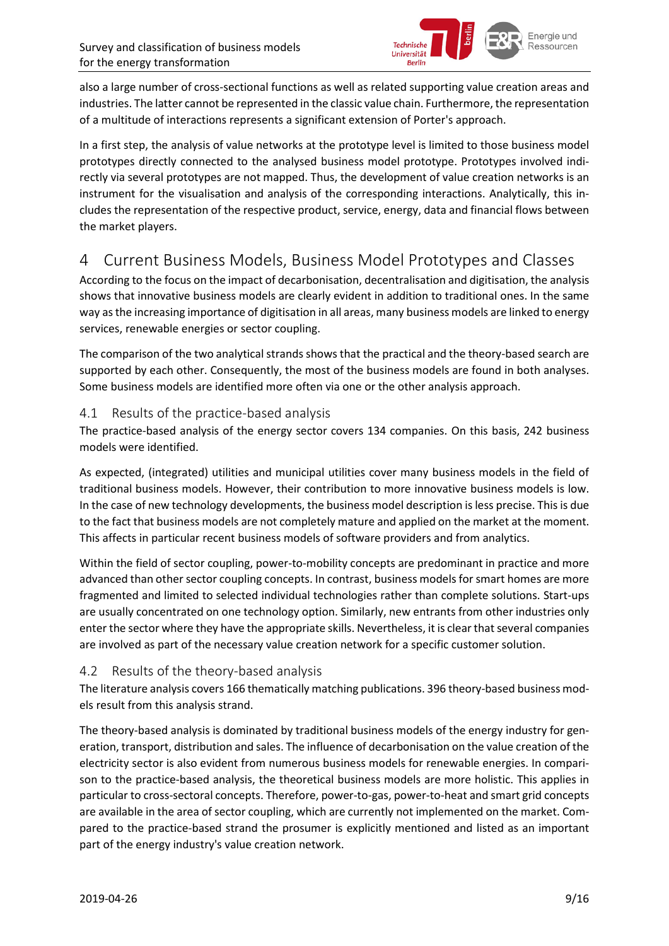

also a large number of cross-sectional functions as well as related supporting value creation areas and industries. The latter cannot be represented in the classic value chain. Furthermore, the representation of a multitude of interactions represents a significant extension of Porter's approach.

In a first step, the analysis of value networks at the prototype level is limited to those business model prototypes directly connected to the analysed business model prototype. Prototypes involved indirectly via several prototypes are not mapped. Thus, the development of value creation networks is an instrument for the visualisation and analysis of the corresponding interactions. Analytically, this includes the representation of the respective product, service, energy, data and financial flows between the market players.

## <span id="page-8-0"></span>4 Current Business Models, Business Model Prototypes and Classes

According to the focus on the impact of decarbonisation, decentralisation and digitisation, the analysis shows that innovative business models are clearly evident in addition to traditional ones. In the same way as the increasing importance of digitisation in all areas, many business models are linked to energy services, renewable energies or sector coupling.

The comparison of the two analytical strands shows that the practical and the theory-based search are supported by each other. Consequently, the most of the business models are found in both analyses. Some business models are identified more often via one or the other analysis approach.

#### <span id="page-8-1"></span>4.1 Results of the practice-based analysis

The practice-based analysis of the energy sector covers 134 companies. On this basis, 242 business models were identified.

As expected, (integrated) utilities and municipal utilities cover many business models in the field of traditional business models. However, their contribution to more innovative business models is low. In the case of new technology developments, the business model description is less precise. This is due to the fact that business models are not completely mature and applied on the market at the moment. This affects in particular recent business models of software providers and from analytics.

Within the field of sector coupling, power-to-mobility concepts are predominant in practice and more advanced than other sector coupling concepts. In contrast, business models for smart homes are more fragmented and limited to selected individual technologies rather than complete solutions. Start-ups are usually concentrated on one technology option. Similarly, new entrants from other industries only enter the sector where they have the appropriate skills. Nevertheless, it is clear that several companies are involved as part of the necessary value creation network for a specific customer solution.

#### <span id="page-8-2"></span>4.2 Results of the theory-based analysis

The literature analysis covers 166 thematically matching publications. 396 theory-based business models result from this analysis strand.

The theory-based analysis is dominated by traditional business models of the energy industry for generation, transport, distribution and sales. The influence of decarbonisation on the value creation of the electricity sector is also evident from numerous business models for renewable energies. In comparison to the practice-based analysis, the theoretical business models are more holistic. This applies in particular to cross-sectoral concepts. Therefore, power-to-gas, power-to-heat and smart grid concepts are available in the area of sector coupling, which are currently not implemented on the market. Compared to the practice-based strand the prosumer is explicitly mentioned and listed as an important part of the energy industry's value creation network.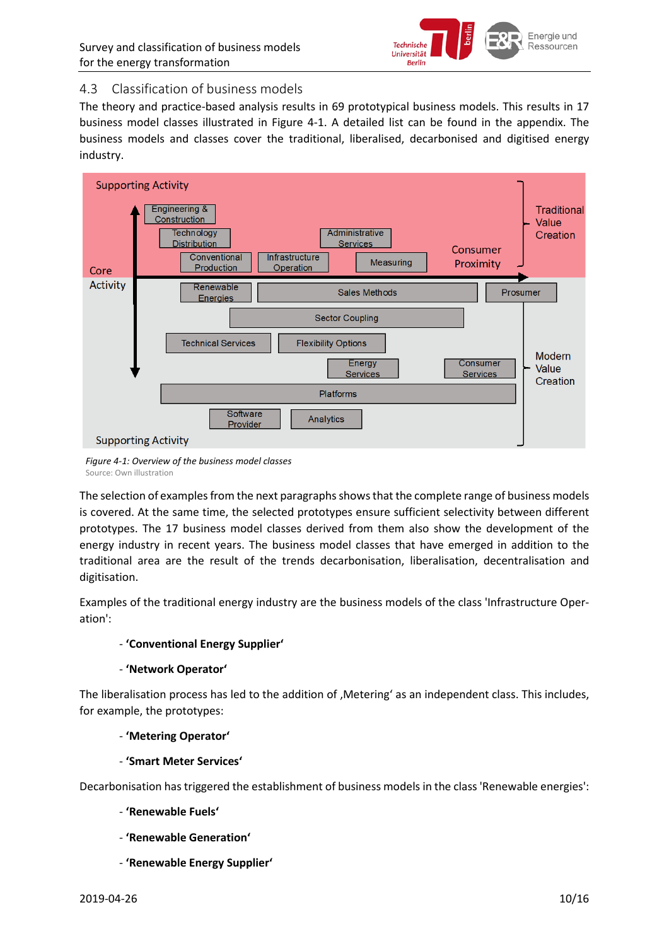

#### <span id="page-9-0"></span>4.3 Classification of business models

The theory and practice-based analysis results in 69 prototypical business models. This results in 17 business model classes illustrated in [Figure 4-1.](#page-9-1) A detailed list can be found in the appendix. The business models and classes cover the traditional, liberalised, decarbonised and digitised energy industry.



<span id="page-9-1"></span>*Figure 4-1: Overview of the business model classes* Source: Own illustration

The selection of examples from the next paragraphs shows that the complete range of business models is covered. At the same time, the selected prototypes ensure sufficient selectivity between different prototypes. The 17 business model classes derived from them also show the development of the energy industry in recent years. The business model classes that have emerged in addition to the traditional area are the result of the trends decarbonisation, liberalisation, decentralisation and digitisation.

Examples of the traditional energy industry are the business models of the class 'Infrastructure Operation':

#### - **'Conventional Energy Supplier'**

#### - **'Network Operator'**

The liberalisation process has led to the addition of , Metering' as an independent class. This includes, for example, the prototypes:

#### - **'Metering Operator'**

- **'Smart Meter Services'**

Decarbonisation has triggered the establishment of business models in the class 'Renewable energies':

- **'Renewable Fuels'**
- **'Renewable Generation'**
- **'Renewable Energy Supplier'**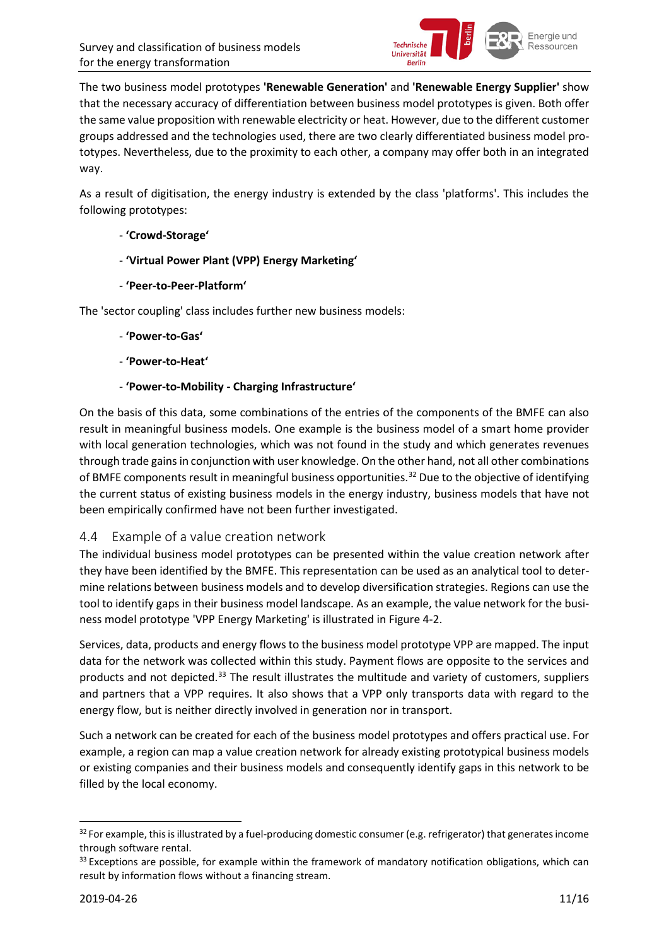

The two business model prototypes **'Renewable Generation'** and **'Renewable Energy Supplier'** show that the necessary accuracy of differentiation between business model prototypes is given. Both offer the same value proposition with renewable electricity or heat. However, due to the different customer groups addressed and the technologies used, there are two clearly differentiated business model prototypes. Nevertheless, due to the proximity to each other, a company may offer both in an integrated way.

As a result of digitisation, the energy industry is extended by the class 'platforms'. This includes the following prototypes:

#### - **'Crowd-Storage'**

- **'Virtual Power Plant (VPP) Energy Marketing'**
- **'Peer-to-Peer-Platform'**

The 'sector coupling' class includes further new business models:

- **'Power-to-Gas'**
- **'Power-to-Heat'**
- **'Power-to-Mobility - Charging Infrastructure'**

On the basis of this data, some combinations of the entries of the components of the BMFE can also result in meaningful business models. One example is the business model of a smart home provider with local generation technologies, which was not found in the study and which generates revenues through trade gains in conjunction with user knowledge. On the other hand, not all other combinations of BMFE components result in meaningful business opportunities. [32](#page-10-1) Due to the objective of identifying the current status of existing business models in the energy industry, business models that have not been empirically confirmed have not been further investigated.

#### <span id="page-10-0"></span>4.4 Example of a value creation network

The individual business model prototypes can be presented within the value creation network after they have been identified by the BMFE. This representation can be used as an analytical tool to determine relations between business models and to develop diversification strategies. Regions can use the tool to identify gaps in their business model landscape. As an example, the value network for the business model prototype 'VPP Energy Marketing' is illustrated in [Figure 4-2.](#page-11-2)

Services, data, products and energy flows to the business model prototype VPP are mapped. The input data for the network was collected within this study. Payment flows are opposite to the services and products and not depicted.<sup>[33](#page-10-2)</sup> The result illustrates the multitude and variety of customers, suppliers and partners that a VPP requires. It also shows that a VPP only transports data with regard to the energy flow, but is neither directly involved in generation nor in transport.

Such a network can be created for each of the business model prototypes and offers practical use. For example, a region can map a value creation network for already existing prototypical business models or existing companies and their business models and consequently identify gaps in this network to be filled by the local economy.

<span id="page-10-1"></span><sup>&</sup>lt;sup>32</sup> For example, this is illustrated by a fuel-producing domestic consumer (e.g. refrigerator) that generates income through software rental.

<span id="page-10-2"></span> $33$  Exceptions are possible, for example within the framework of mandatory notification obligations, which can result by information flows without a financing stream.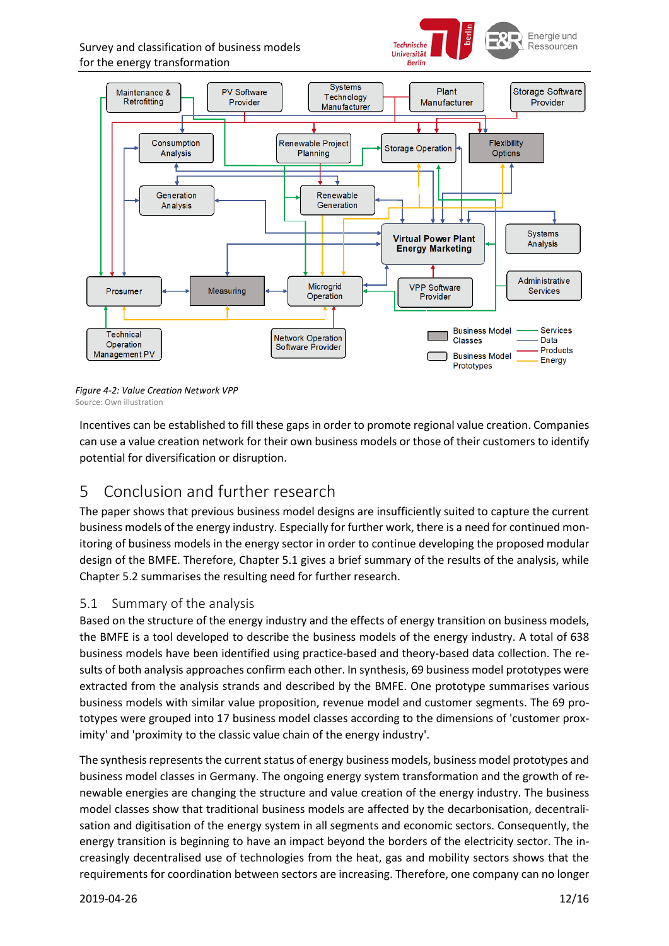Survey and classification of business models for the energy transformation





<span id="page-11-2"></span>*Figure 4-2: Value Creation Network VPP* Source: Own illustration

Incentives can be established to fill these gaps in order to promote regional value creation. Companies can use a value creation network for their own business models or those of their customers to identify potential for diversification or disruption.

## <span id="page-11-0"></span>5 Conclusion and further research

The paper shows that previous business model designs are insufficiently suited to capture the current business models of the energy industry. Especially for further work, there is a need for continued monitoring of business models in the energy sector in order to continue developing the proposed modular design of the BMFE. Therefore, Chapter [5.1](#page-11-1) gives a brief summary of the results of the analysis, while Chapter [5.2](#page-12-0) summarises the resulting need for further research.

#### <span id="page-11-1"></span>5.1 Summary of the analysis

Based on the structure of the energy industry and the effects of energy transition on business models, the BMFE is a tool developed to describe the business models of the energy industry. A total of 638 business models have been identified using practice-based and theory-based data collection. The results of both analysis approaches confirm each other. In synthesis, 69 business model prototypes were extracted from the analysis strands and described by the BMFE. One prototype summarises various business models with similar value proposition, revenue model and customer segments. The 69 prototypes were grouped into 17 business model classes according to the dimensions of 'customer proximity' and 'proximity to the classic value chain of the energy industry'.

The synthesis represents the current status of energy business models, business model prototypes and business model classes in Germany. The ongoing energy system transformation and the growth of renewable energies are changing the structure and value creation of the energy industry. The business model classes show that traditional business models are affected by the decarbonisation, decentralisation and digitisation of the energy system in all segments and economic sectors. Consequently, the energy transition is beginning to have an impact beyond the borders of the electricity sector. The increasingly decentralised use of technologies from the heat, gas and mobility sectors shows that the requirements for coordination between sectors are increasing. Therefore, one company can no longer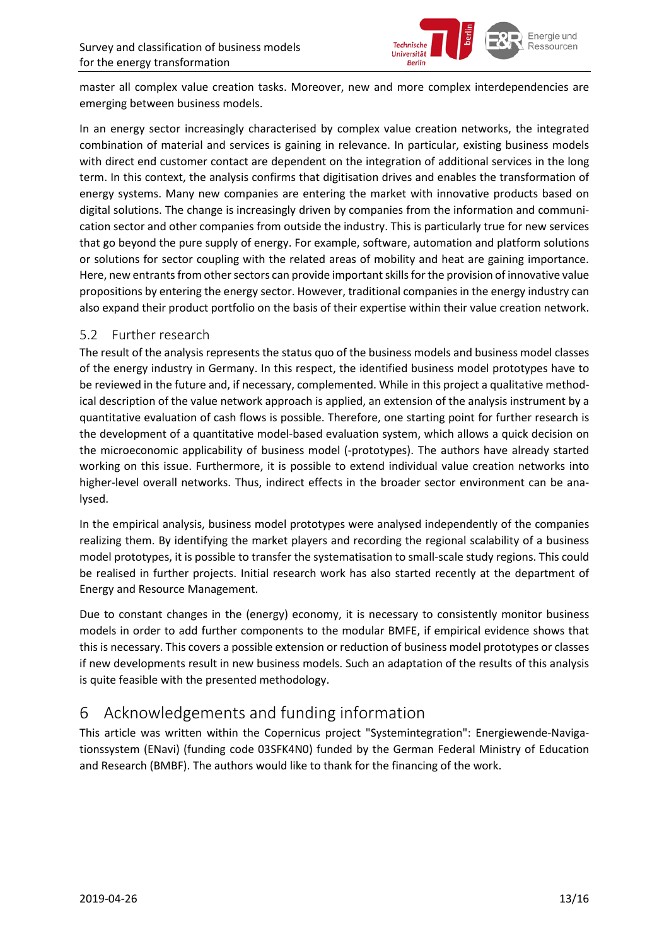

master all complex value creation tasks. Moreover, new and more complex interdependencies are emerging between business models.

In an energy sector increasingly characterised by complex value creation networks, the integrated combination of material and services is gaining in relevance. In particular, existing business models with direct end customer contact are dependent on the integration of additional services in the long term. In this context, the analysis confirms that digitisation drives and enables the transformation of energy systems. Many new companies are entering the market with innovative products based on digital solutions. The change is increasingly driven by companies from the information and communication sector and other companies from outside the industry. This is particularly true for new services that go beyond the pure supply of energy. For example, software, automation and platform solutions or solutions for sector coupling with the related areas of mobility and heat are gaining importance. Here, new entrants from other sectors can provide important skills for the provision of innovative value propositions by entering the energy sector. However, traditional companies in the energy industry can also expand their product portfolio on the basis of their expertise within their value creation network.

#### <span id="page-12-0"></span>5.2 Further research

The result of the analysis represents the status quo of the business models and business model classes of the energy industry in Germany. In this respect, the identified business model prototypes have to be reviewed in the future and, if necessary, complemented. While in this project a qualitative methodical description of the value network approach is applied, an extension of the analysis instrument by a quantitative evaluation of cash flows is possible. Therefore, one starting point for further research is the development of a quantitative model-based evaluation system, which allows a quick decision on the microeconomic applicability of business model (-prototypes). The authors have already started working on this issue. Furthermore, it is possible to extend individual value creation networks into higher-level overall networks. Thus, indirect effects in the broader sector environment can be analysed.

In the empirical analysis, business model prototypes were analysed independently of the companies realizing them. By identifying the market players and recording the regional scalability of a business model prototypes, it is possible to transfer the systematisation to small-scale study regions. This could be realised in further projects. Initial research work has also started recently at the department of Energy and Resource Management.

Due to constant changes in the (energy) economy, it is necessary to consistently monitor business models in order to add further components to the modular BMFE, if empirical evidence shows that this is necessary. This covers a possible extension or reduction of business model prototypes or classes if new developments result in new business models. Such an adaptation of the results of this analysis is quite feasible with the presented methodology.

## <span id="page-12-1"></span>6 Acknowledgements and funding information

This article was written within the Copernicus project "Systemintegration": Energiewende-Navigationssystem (ENavi) (funding code 03SFK4N0) funded by the German Federal Ministry of Education and Research (BMBF). The authors would like to thank for the financing of the work.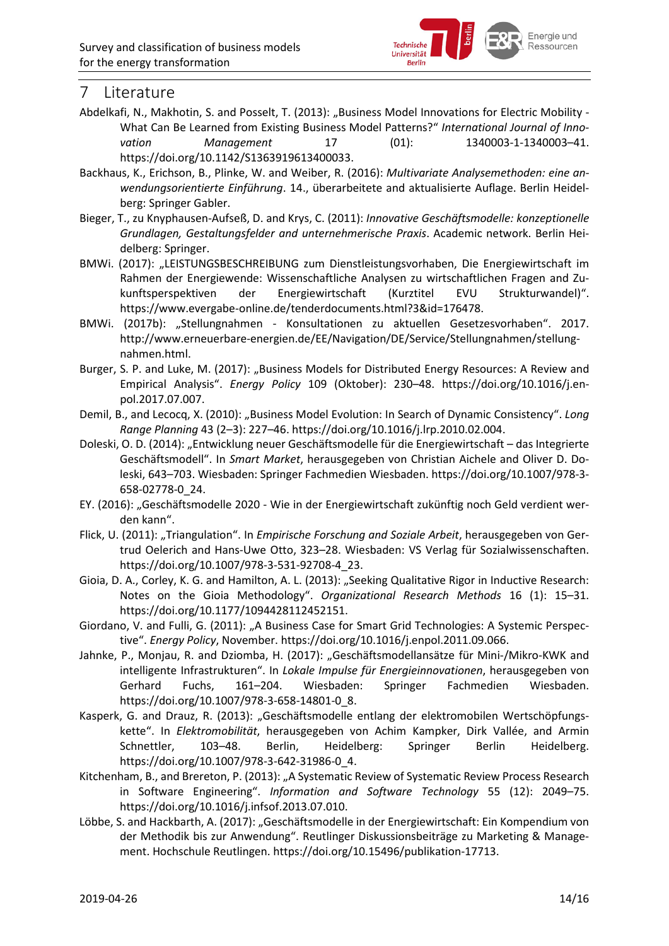

### <span id="page-13-0"></span>7 Literature

- Abdelkafi, N., Makhotin, S. and Posselt, T. (2013): "Business Model Innovations for Electric Mobility -What Can Be Learned from Existing Business Model Patterns?" *International Journal of Innovation Management* 17 (01): 1340003-1-1340003–41. https://doi.org/10.1142/S1363919613400033.
- Backhaus, K., Erichson, B., Plinke, W. and Weiber, R. (2016): *Multivariate Analysemethoden: eine anwendungsorientierte Einführung*. 14., überarbeitete and aktualisierte Auflage. Berlin Heidelberg: Springer Gabler.
- Bieger, T., zu Knyphausen-Aufseß, D. and Krys, C. (2011): *Innovative Geschäftsmodelle: konzeptionelle Grundlagen, Gestaltungsfelder and unternehmerische Praxis*. Academic network. Berlin Heidelberg: Springer.
- BMWi. (2017): "LEISTUNGSBESCHREIBUNG zum Dienstleistungsvorhaben, Die Energiewirtschaft im Rahmen der Energiewende: Wissenschaftliche Analysen zu wirtschaftlichen Fragen and Zukunftsperspektiven der Energiewirtschaft (Kurztitel EVU Strukturwandel)". https://www.evergabe-online.de/tenderdocuments.html?3&id=176478.
- BMWi. (2017b): "Stellungnahmen Konsultationen zu aktuellen Gesetzesvorhaben". 2017. http://www.erneuerbare-energien.de/EE/Navigation/DE/Service/Stellungnahmen/stellungnahmen.html.
- Burger, S. P. and Luke, M. (2017): "Business Models for Distributed Energy Resources: A Review and Empirical Analysis". *Energy Policy* 109 (Oktober): 230–48. https://doi.org/10.1016/j.enpol.2017.07.007.
- Demil, B., and Lecocq, X. (2010): "Business Model Evolution: In Search of Dynamic Consistency". *Long Range Planning* 43 (2–3): 227–46. https://doi.org/10.1016/j.lrp.2010.02.004.
- Doleski, O. D. (2014): "Entwicklung neuer Geschäftsmodelle für die Energiewirtschaft das Integrierte Geschäftsmodell". In *Smart Market*, herausgegeben von Christian Aichele and Oliver D. Doleski, 643–703. Wiesbaden: Springer Fachmedien Wiesbaden. https://doi.org/10.1007/978-3- 658-02778-0\_24.
- EY. (2016): "Geschäftsmodelle 2020 Wie in der Energiewirtschaft zukünftig noch Geld verdient werden kann".
- Flick, U. (2011): "Triangulation". In *Empirische Forschung and Soziale Arbeit*, herausgegeben von Gertrud Oelerich and Hans-Uwe Otto, 323–28. Wiesbaden: VS Verlag für Sozialwissenschaften. https://doi.org/10.1007/978-3-531-92708-4\_23.
- Gioia, D. A., Corley, K. G. and Hamilton, A. L. (2013): "Seeking Qualitative Rigor in Inductive Research: Notes on the Gioia Methodology". *Organizational Research Methods* 16 (1): 15–31. https://doi.org/10.1177/1094428112452151.
- Giordano, V. and Fulli, G. (2011): "A Business Case for Smart Grid Technologies: A Systemic Perspective". *Energy Policy*, November. https://doi.org/10.1016/j.enpol.2011.09.066.
- Jahnke, P., Monjau, R. and Dziomba, H. (2017): "Geschäftsmodellansätze für Mini-/Mikro-KWK and intelligente Infrastrukturen". In *Lokale Impulse für Energieinnovationen*, herausgegeben von Gerhard Fuchs, 161–204. Wiesbaden: Springer Fachmedien Wiesbaden. https://doi.org/10.1007/978-3-658-14801-0\_8.
- Kasperk, G. and Drauz, R. (2013): "Geschäftsmodelle entlang der elektromobilen Wertschöpfungskette". In *Elektromobilität*, herausgegeben von Achim Kampker, Dirk Vallée, and Armin Schnettler, 103–48. Berlin, Heidelberg: Springer Berlin Heidelberg. https://doi.org/10.1007/978-3-642-31986-0\_4.
- Kitchenham, B., and Brereton, P. (2013): "A Systematic Review of Systematic Review Process Research in Software Engineering". *Information and Software Technology* 55 (12): 2049–75. https://doi.org/10.1016/j.infsof.2013.07.010.
- Löbbe, S. and Hackbarth, A. (2017): "Geschäftsmodelle in der Energiewirtschaft: Ein Kompendium von der Methodik bis zur Anwendung". Reutlinger Diskussionsbeiträge zu Marketing & Management. Hochschule Reutlingen. https://doi.org/10.15496/publikation-17713.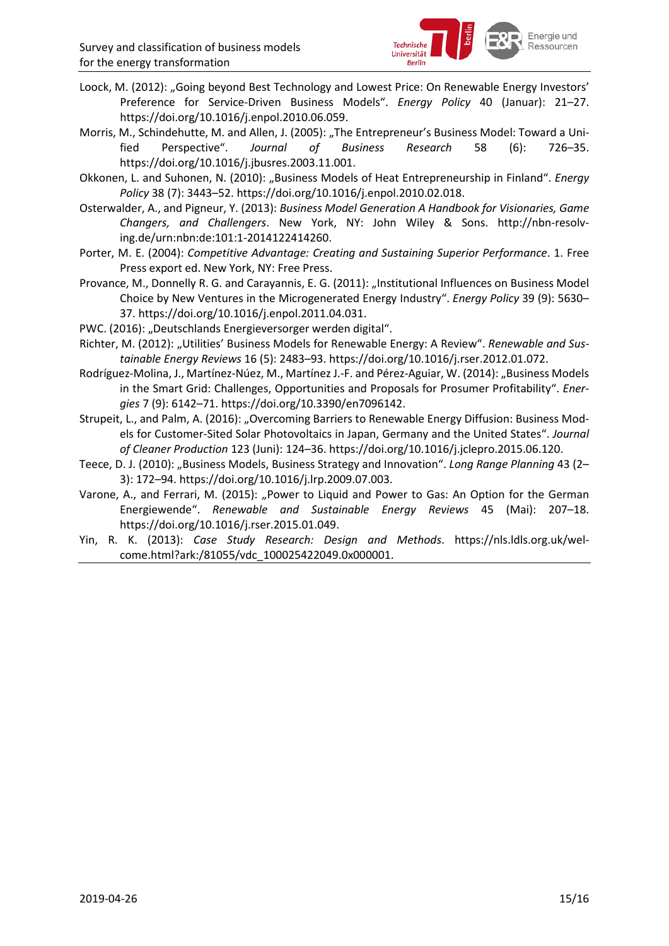

- Loock, M. (2012): "Going beyond Best Technology and Lowest Price: On Renewable Energy Investors' Preference for Service-Driven Business Models". *Energy Policy* 40 (Januar): 21–27. https://doi.org/10.1016/j.enpol.2010.06.059.
- Morris, M., Schindehutte, M. and Allen, J. (2005): "The Entrepreneur's Business Model: Toward a Unified Perspective". *Journal of Business Research* 58 (6): 726–35. https://doi.org/10.1016/j.jbusres.2003.11.001.
- Okkonen, L. and Suhonen, N. (2010): "Business Models of Heat Entrepreneurship in Finland". *Energy Policy* 38 (7): 3443–52. https://doi.org/10.1016/j.enpol.2010.02.018.
- Osterwalder, A., and Pigneur, Y. (2013): *Business Model Generation A Handbook for Visionaries, Game Changers, and Challengers*. New York, NY: John Wiley & Sons. http://nbn-resolving.de/urn:nbn:de:101:1-2014122414260.
- Porter, M. E. (2004): *Competitive Advantage: Creating and Sustaining Superior Performance*. 1. Free Press export ed. New York, NY: Free Press.
- Provance, M., Donnelly R. G. and Carayannis, E. G. (2011): "Institutional Influences on Business Model Choice by New Ventures in the Microgenerated Energy Industry". *Energy Policy* 39 (9): 5630– 37. https://doi.org/10.1016/j.enpol.2011.04.031.
- PWC. (2016): "Deutschlands Energieversorger werden digital".
- Richter, M. (2012): "Utilities' Business Models for Renewable Energy: A Review". Renewable and Sus*tainable Energy Reviews* 16 (5): 2483–93. https://doi.org/10.1016/j.rser.2012.01.072.
- Rodríguez-Molina, J., Martínez-Núez, M., Martínez J.-F. and Pérez-Aguiar, W. (2014): "Business Models in the Smart Grid: Challenges, Opportunities and Proposals for Prosumer Profitability". *Energies* 7 (9): 6142–71. https://doi.org/10.3390/en7096142.
- Strupeit, L., and Palm, A. (2016): "Overcoming Barriers to Renewable Energy Diffusion: Business Models for Customer-Sited Solar Photovoltaics in Japan, Germany and the United States". *Journal of Cleaner Production* 123 (Juni): 124–36. https://doi.org/10.1016/j.jclepro.2015.06.120.
- Teece, D. J. (2010): "Business Models, Business Strategy and Innovation". *Long Range Planning* 43 (2– 3): 172–94. https://doi.org/10.1016/j.lrp.2009.07.003.
- Varone, A., and Ferrari, M. (2015): "Power to Liquid and Power to Gas: An Option for the German Energiewende". *Renewable and Sustainable Energy Reviews* 45 (Mai): 207–18. https://doi.org/10.1016/j.rser.2015.01.049.
- Yin, R. K. (2013): *Case Study Research: Design and Methods*. https://nls.ldls.org.uk/welcome.html?ark:/81055/vdc\_100025422049.0x000001.